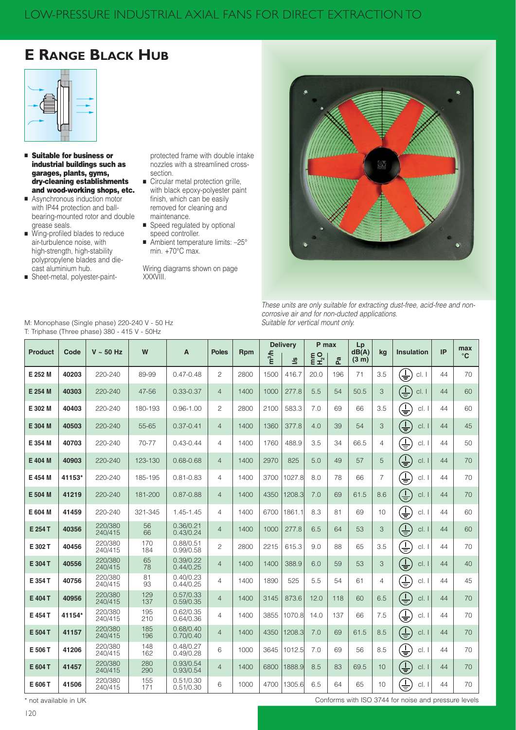# **E RANGE BLACK HUB**



- **E** Suitable for business or industrial buildings such as garages, plants, gyms, dry-cleaning establishments and wood-working shops, etc.
- Asynchronous induction motor with IP44 protection and ballbearing-mounted rotor and double grease seals.
- Wing-profiled blades to reduce air-turbulence noise, with high-strength, high-stability polypropylene blades and diecast aluminium hub.
- Sheet-metal, polyester-paint-

protected frame with double intake nozzles with a streamlined crosssection.

- Circular metal protection grille, with black epoxy-polyester paint finish, which can be easily removed for cleaning and maintenance.
- Speed regulated by optional speed controller.
- Ambient temperature limits: -25° min. +70°C max.

Wiring diagrams shown on page XXXVIII.



These units are only suitable for extracting dust-free, acid-free and noncorrosive air and for non-ducted applications. Suitable for vertical mount only.

Conforms with ISO 3744 for noise and pressure levels

| <b>Product</b> | Code   | $V \sim 50$ Hz     | W          | A                      | <b>Poles</b>   | <b>Rpm</b> | m <sup>3</sup> /h | <b>Delivery</b><br><u>%</u> | P max<br>$E_2^{\text{C}}$ | Ρã  | Lp<br>dB(A)<br>(3 <sub>m</sub> ) | kq             | <b>Insulation</b>                 | IP | max<br>$^{\circ}$ C |
|----------------|--------|--------------------|------------|------------------------|----------------|------------|-------------------|-----------------------------|---------------------------|-----|----------------------------------|----------------|-----------------------------------|----|---------------------|
| E 252 M        | 40203  | 220-240            | 89-99      | $0.47 - 0.48$          | $\overline{c}$ | 2800       | 1500              | 416.7                       | 20.0                      | 196 | 71                               | 3.5            | $\overline{\mathsf{F}}$<br>cl. I  | 44 | 70                  |
| E 254 M        | 40303  | 220-240            | 47-56      | $0.33 - 0.37$          | $\overline{4}$ | 1400       | 1000              | 277.8                       | 5.5                       | 54  | 50.5                             | 3              | $\overline{\mathbb{P}}$<br>cl. I  | 44 | 60                  |
| E 302 M        | 40403  | 220-240            | 180-193    | $0.96 - 1.00$          | $\overline{c}$ | 2800       | 2100              | 583.3                       | 7.0                       | 69  | 66                               | 3.5            | $\overline{\frac{1}{1}}$<br>cl. I | 44 | 60                  |
| E 304 M        | 40503  | 220-240            | 55-65      | $0.37 - 0.41$          | $\overline{4}$ | 1400       | 1360              | 377.8                       | 4.0                       | 39  | 54                               | 3              | $\overline{\mathbb{F}}$<br>cl.    | 44 | 45                  |
| E 354 M        | 40703  | 220-240            | 70-77      | $0.43 - 0.44$          | $\overline{4}$ | 1400       | 1760              | 488.9                       | 3.5                       | 34  | 66.5                             | 4              | $\overline{\pm}$<br>cl.           | 44 | 50                  |
| E 404 M        | 40903  | 220-240            | 123-130    | $0.68 - 0.68$          | $\overline{4}$ | 1400       | 2970              | 825                         | 5.0                       | 49  | 57                               | 5              | $\bigoplus_{i=1}^n$<br>cl.        | 44 | 70                  |
| E 454 M        | 41153* | 220-240            | 185-195    | $0.81 - 0.83$          | 4              | 1400       | 3700              | 1027.8                      | 8.0                       | 78  | 66                               | $\overline{7}$ | $\overline{\mathbb{F}}$<br>cl.    | 44 | 70                  |
| E 504 M        | 41219  | 220-240            | 181-200    | $0.87 - 0.88$          | $\overline{4}$ | 1400       | 4350              | 1208.3                      | 7.0                       | 69  | 61.5                             | 8.6            | $\overline{\mathbb{F}}$<br>cl.    | 44 | 70                  |
| E 604 M        | 41459  | 220-240            | 321-345    | 1.45-1.45              | $\overline{4}$ | 1400       | 6700              | 1861.1                      | 8.3                       | 81  | 69                               | 10             | $\overline{\pm}$<br>cl.           | 44 | 60                  |
| E 254 T        | 40356  | 220/380<br>240/415 | 56<br>66   | 0.36/0.21<br>0.43/0.24 | $\overline{4}$ | 1400       | 1000              | 277.8                       | 6.5                       | 64  | 53                               | 3              | $\overline{\Xi}$<br>cl.           | 44 | 60                  |
| E 302 T        | 40456  | 220/380<br>240/415 | 170<br>184 | 0.88/0.51<br>0.99/0.58 | $\overline{c}$ | 2800       | 2215              | 615.3                       | 9.0                       | 88  | 65                               | 3.5            | $\widehat{\pm}$<br>cl. I          | 44 | 70                  |
| E 304 T        | 40556  | 220/380<br>240/415 | 65<br>78   | 0.39/0.22<br>0.44/0.25 | $\overline{4}$ | 1400       | 1400              | 388.9                       | 6.0                       | 59  | 53                               | 3              | $\overline{\mathbb{P}}$<br>cl.    | 44 | 40                  |
| E 354 T        | 40756  | 220/380<br>240/415 | 81<br>93   | 0.40/0.23<br>0.44/0.25 | $\overline{4}$ | 1400       | 1890              | 525                         | 5.5                       | 54  | 61                               | 4              | $\overline{\mathbb{F}}$<br>cl.    | 44 | 45                  |
| E 404 T        | 40956  | 220/380<br>240/415 | 129<br>137 | 0.57/0.33<br>0.59/0.35 | $\overline{4}$ | 1400       | 3145              | 873.6                       | 12.0                      | 118 | 60                               | 6.5            | $\overline{\mathbb{F}}$<br>cl.    | 44 | 70                  |
| E 454 T        | 41154* | 220/380<br>240/415 | 195<br>210 | 0.62/0.35<br>0.64/0.36 | 4              | 1400       | 3855              | 1070.8                      | 14.0                      | 137 | 66                               | 7.5            | $\overline{\exists}$<br>cl. I     | 44 | 70                  |
| E 504 T        | 41157  | 220/380<br>240/415 | 185<br>196 | 0.68/0.40<br>0.70/0.40 | $\overline{4}$ | 1400       | 4350              | 1208.3                      | 7.0                       | 69  | 61.5                             | 8.5            | $\overline{\mathbb{F}}$<br>cl.    | 44 | 70                  |
| E 506 T        | 41206  | 220/380<br>240/415 | 148<br>162 | 0.48/0.27<br>0.49/0.28 | 6              | 1000       | 3645              | 1012.5                      | 7.0                       | 69  | 56                               | 8.5            | $\overline{\exists}$<br>cl. I     | 44 | 70                  |
| E 604 T        | 41457  | 220/380<br>240/415 | 280<br>290 | 0.93/0.54<br>0.93/0.54 | $\overline{4}$ | 1400       | 6800              | 1888.9                      | 8.5                       | 83  | 69.5                             | 10             | $\overline{\mathbb{F}}$<br>cl.    | 44 | 70                  |
| E 606 T        | 41506  | 220/380<br>240/415 | 155<br>171 | 0.51/0.30<br>0.51/0.30 | 6              | 1000       | 4700              | 1305.6                      | 6.5                       | 64  | 65                               | 10             | $\overline{\mathbb{F}}$<br>cl. I  | 44 | 70                  |

M: Monophase (Single phase) 220-240 V - 50 Hz T: Triphase (Three phase) 380 - 415 V - 50Hz

\* not available in UK

 $120$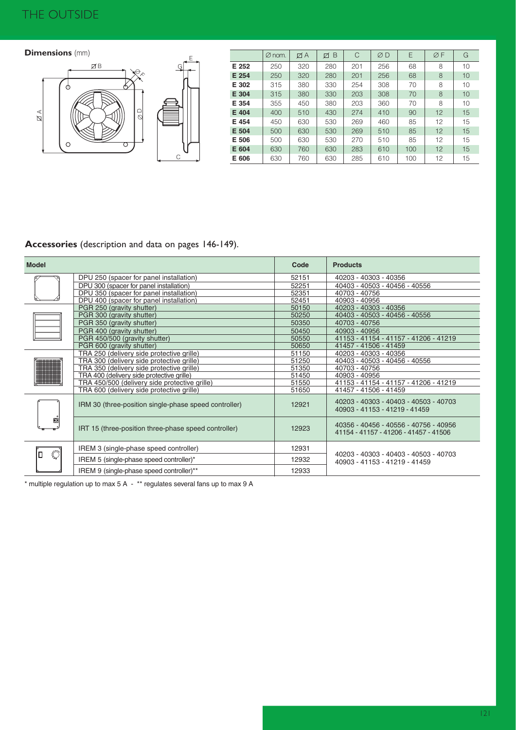## THE OUTSIDE

### **Dimensions** (mm)



|       | $\varnothing$ nom. | ØΑ  | B<br>Ø | C   | ØD  | E   | ØF | G  |
|-------|--------------------|-----|--------|-----|-----|-----|----|----|
| E 252 | 250                | 320 | 280    | 201 | 256 | 68  | 8  | 10 |
| E 254 | 250                | 320 | 280    | 201 | 256 | 68  | 8  | 10 |
| E 302 | 315                | 380 | 330    | 254 | 308 | 70  | 8  | 10 |
| E 304 | 315                | 380 | 330    | 203 | 308 | 70  | 8  | 10 |
| E 354 | 355                | 450 | 380    | 203 | 360 | 70  | 8  | 10 |
| E 404 | 400                | 510 | 430    | 274 | 410 | 90  | 12 | 15 |
| E 454 | 450                | 630 | 530    | 269 | 460 | 85  | 12 | 15 |
| E 504 | 500                | 630 | 530    | 269 | 510 | 85  | 12 | 15 |
| E 506 | 500                | 630 | 530    | 270 | 510 | 85  | 12 | 15 |
| E 604 | 630                | 760 | 630    | 283 | 610 | 100 | 12 | 15 |
| E 606 | 630                | 760 | 630    | 285 | 610 | 100 | 12 | 15 |

## **Accessories** (description and data on pages 146-149).

| <b>Model</b>   |                                                       | Code  | <b>Products</b>                                                                |  |  |
|----------------|-------------------------------------------------------|-------|--------------------------------------------------------------------------------|--|--|
|                | DPU 250 (spacer for panel installation)               | 52151 | 40203 - 40303 - 40356                                                          |  |  |
|                | DPU 300 (spacer for panel installation)               | 52251 | 40403 - 40503 - 40456 - 40556                                                  |  |  |
|                | DPU 350 (spacer for panel installation)               | 52351 | 40703 - 40756                                                                  |  |  |
|                | DPU 400 (spacer for panel installation)               | 52451 | 40903 - 40956                                                                  |  |  |
|                | PGR 250 (gravity shutter)                             | 50150 | 40203 - 40303 - 40356                                                          |  |  |
|                | PGR 300 (gravity shutter)                             | 50250 | 40403 - 40503 - 40456 - 40556                                                  |  |  |
|                | PGR 350 (gravity shutter)                             | 50350 | 40703 - 40756                                                                  |  |  |
|                | PGR 400 (gravity shutter)                             | 50450 | 40903 - 40956                                                                  |  |  |
|                | PGR 450/500 (gravity shutter)                         | 50550 | 41153 - 41154 - 41157 - 41206 - 41219                                          |  |  |
|                | PGR 600 (gravity shutter)                             | 50650 | 41457 - 41506 - 41459                                                          |  |  |
|                | TRA 250 (delivery side protective grille)             | 51150 | 40203 - 40303 - 40356                                                          |  |  |
|                | TRA 300 (delivery side protective grille)             | 51250 | 40403 - 40503 - 40456 - 40556                                                  |  |  |
|                | TRA 350 (delivery side protective grille)             | 51350 | 40703 - 40756                                                                  |  |  |
|                | TRA 400 (delivery side protective grille)             | 51450 | 40903 - 40956                                                                  |  |  |
|                | TRA 450/500 (delivery side protective grille)         | 51550 | 41153 - 41154 - 41157 - 41206 - 41219                                          |  |  |
|                | TRA 600 (delivery side protective grille)             | 51650 | 41457 - 41506 - 41459                                                          |  |  |
| ø              | IRM 30 (three-position single-phase speed controller) | 12921 | 40203 - 40303 - 40403 - 40503 - 40703<br>40903 - 41153 - 41219 - 41459         |  |  |
|                | IRT 15 (three-position three-phase speed controller)  | 12923 | 40356 - 40456 - 40556 - 40756 - 40956<br>41154 - 41157 - 41206 - 41457 - 41506 |  |  |
| $\ddot{\circ}$ | IREM 3 (single-phase speed controller)                | 12931 |                                                                                |  |  |
|                | IREM 5 (single-phase speed controller)*               | 12932 | 40203 - 40303 - 40403 - 40503 - 40703<br>40903 - 41153 - 41219 - 41459         |  |  |
|                | IREM 9 (single-phase speed controller)**              | 12933 |                                                                                |  |  |

\* multiple regulation up to max 5 A - \*\* regulates several fans up to max 9 A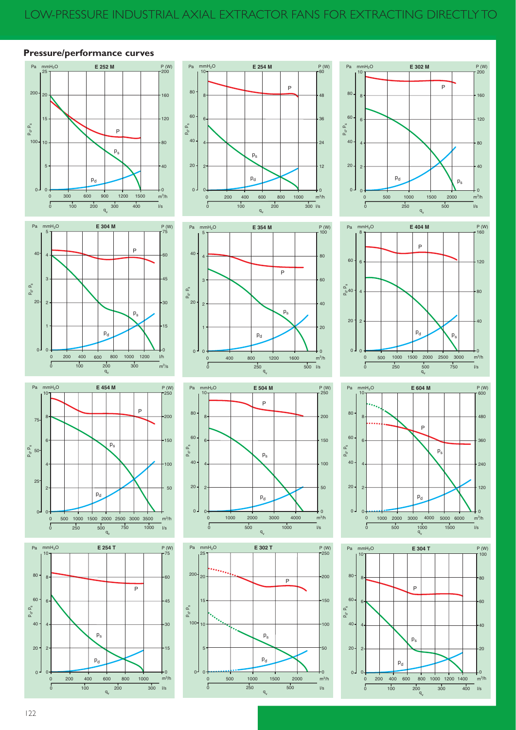### **Pressure/performance curves**